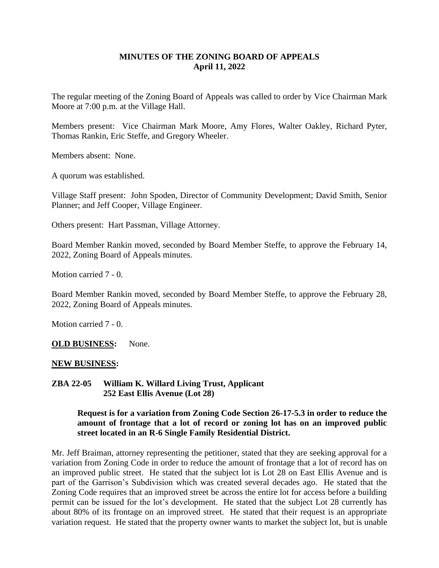### **MINUTES OF THE ZONING BOARD OF APPEALS April 11, 2022**

The regular meeting of the Zoning Board of Appeals was called to order by Vice Chairman Mark Moore at 7:00 p.m. at the Village Hall.

Members present: Vice Chairman Mark Moore, Amy Flores, Walter Oakley, Richard Pyter, Thomas Rankin, Eric Steffe, and Gregory Wheeler.

Members absent: None.

A quorum was established.

Village Staff present: John Spoden, Director of Community Development; David Smith, Senior Planner; and Jeff Cooper, Village Engineer.

Others present: Hart Passman, Village Attorney.

Board Member Rankin moved, seconded by Board Member Steffe, to approve the February 14, 2022, Zoning Board of Appeals minutes.

Motion carried 7 - 0.

Board Member Rankin moved, seconded by Board Member Steffe, to approve the February 28, 2022, Zoning Board of Appeals minutes.

Motion carried 7 - 0.

**OLD BUSINESS:** None.

#### **NEW BUSINESS:**

**ZBA 22-05 William K. Willard Living Trust, Applicant 252 East Ellis Avenue (Lot 28)**

#### **Request is for a variation from Zoning Code Section 26-17-5.3 in order to reduce the amount of frontage that a lot of record or zoning lot has on an improved public street located in an R-6 Single Family Residential District.**

Mr. Jeff Braiman, attorney representing the petitioner, stated that they are seeking approval for a variation from Zoning Code in order to reduce the amount of frontage that a lot of record has on an improved public street. He stated that the subject lot is Lot 28 on East Ellis Avenue and is part of the Garrison's Subdivision which was created several decades ago. He stated that the Zoning Code requires that an improved street be across the entire lot for access before a building permit can be issued for the lot's development. He stated that the subject Lot 28 currently has about 80% of its frontage on an improved street. He stated that their request is an appropriate variation request. He stated that the property owner wants to market the subject lot, but is unable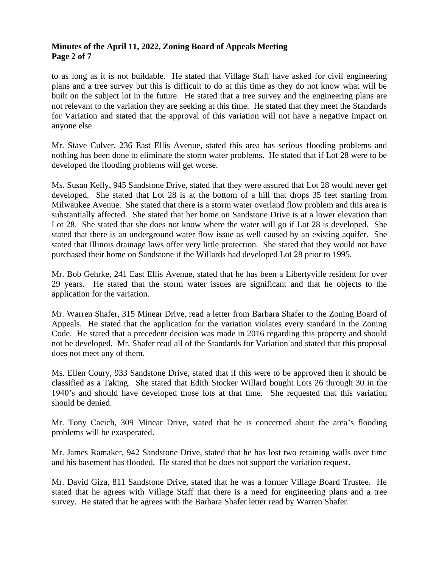### **Minutes of the April 11, 2022, Zoning Board of Appeals Meeting Page 2 of 7**

to as long as it is not buildable. He stated that Village Staff have asked for civil engineering plans and a tree survey but this is difficult to do at this time as they do not know what will be built on the subject lot in the future. He stated that a tree survey and the engineering plans are not relevant to the variation they are seeking at this time. He stated that they meet the Standards for Variation and stated that the approval of this variation will not have a negative impact on anyone else.

Mr. Stave Culver, 236 East Ellis Avenue, stated this area has serious flooding problems and nothing has been done to eliminate the storm water problems. He stated that if Lot 28 were to be developed the flooding problems will get worse.

Ms. Susan Kelly, 945 Sandstone Drive, stated that they were assured that Lot 28 would never get developed. She stated that Lot 28 is at the bottom of a hill that drops 35 feet starting from Milwaukee Avenue. She stated that there is a storm water overland flow problem and this area is substantially affected. She stated that her home on Sandstone Drive is at a lower elevation than Lot 28. She stated that she does not know where the water will go if Lot 28 is developed. She stated that there is an underground water flow issue as well caused by an existing aquifer. She stated that Illinois drainage laws offer very little protection. She stated that they would not have purchased their home on Sandstone if the Willards had developed Lot 28 prior to 1995.

Mr. Bob Gehrke, 241 East Ellis Avenue, stated that he has been a Libertyville resident for over 29 years. He stated that the storm water issues are significant and that he objects to the application for the variation.

Mr. Warren Shafer, 315 Minear Drive, read a letter from Barbara Shafer to the Zoning Board of Appeals. He stated that the application for the variation violates every standard in the Zoning Code. He stated that a precedent decision was made in 2016 regarding this property and should not be developed. Mr. Shafer read all of the Standards for Variation and stated that this proposal does not meet any of them.

Ms. Ellen Coury, 933 Sandstone Drive, stated that if this were to be approved then it should be classified as a Taking. She stated that Edith Stocker Willard bought Lots 26 through 30 in the 1940's and should have developed those lots at that time. She requested that this variation should be denied.

Mr. Tony Cacich, 309 Minear Drive, stated that he is concerned about the area's flooding problems will be exasperated.

Mr. James Ramaker, 942 Sandstone Drive, stated that he has lost two retaining walls over time and his basement has flooded. He stated that he does not support the variation request.

Mr. David Giza, 811 Sandstone Drive, stated that he was a former Village Board Trustee. He stated that he agrees with Village Staff that there is a need for engineering plans and a tree survey. He stated that he agrees with the Barbara Shafer letter read by Warren Shafer.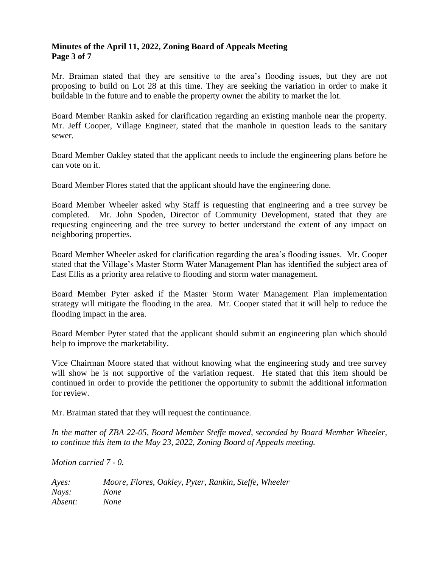### **Minutes of the April 11, 2022, Zoning Board of Appeals Meeting Page 3 of 7**

Mr. Braiman stated that they are sensitive to the area's flooding issues, but they are not proposing to build on Lot 28 at this time. They are seeking the variation in order to make it buildable in the future and to enable the property owner the ability to market the lot.

Board Member Rankin asked for clarification regarding an existing manhole near the property. Mr. Jeff Cooper, Village Engineer, stated that the manhole in question leads to the sanitary sewer.

Board Member Oakley stated that the applicant needs to include the engineering plans before he can vote on it.

Board Member Flores stated that the applicant should have the engineering done.

Board Member Wheeler asked why Staff is requesting that engineering and a tree survey be completed. Mr. John Spoden, Director of Community Development, stated that they are requesting engineering and the tree survey to better understand the extent of any impact on neighboring properties.

Board Member Wheeler asked for clarification regarding the area's flooding issues. Mr. Cooper stated that the Village's Master Storm Water Management Plan has identified the subject area of East Ellis as a priority area relative to flooding and storm water management.

Board Member Pyter asked if the Master Storm Water Management Plan implementation strategy will mitigate the flooding in the area. Mr. Cooper stated that it will help to reduce the flooding impact in the area.

Board Member Pyter stated that the applicant should submit an engineering plan which should help to improve the marketability.

Vice Chairman Moore stated that without knowing what the engineering study and tree survey will show he is not supportive of the variation request. He stated that this item should be continued in order to provide the petitioner the opportunity to submit the additional information for review.

Mr. Braiman stated that they will request the continuance.

*In the matter of ZBA 22-05, Board Member Steffe moved, seconded by Board Member Wheeler, to continue this item to the May 23, 2022, Zoning Board of Appeals meeting.*

*Motion carried 7 - 0.*

*Ayes: Moore, Flores, Oakley, Pyter, Rankin, Steffe, Wheeler Nays: None Absent: None*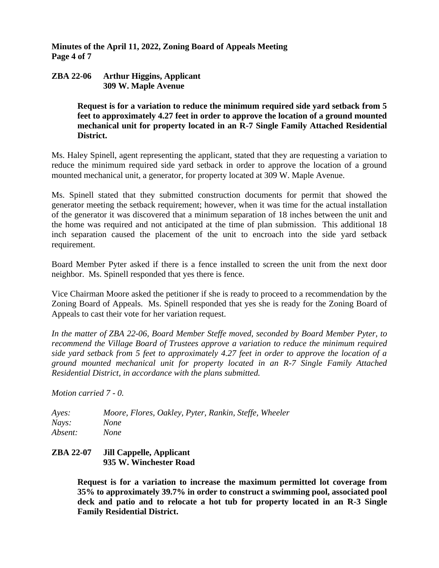**Minutes of the April 11, 2022, Zoning Board of Appeals Meeting Page 4 of 7**

#### **ZBA 22-06 Arthur Higgins, Applicant 309 W. Maple Avenue**

**Request is for a variation to reduce the minimum required side yard setback from 5 feet to approximately 4.27 feet in order to approve the location of a ground mounted mechanical unit for property located in an R-7 Single Family Attached Residential District.**

Ms. Haley Spinell, agent representing the applicant, stated that they are requesting a variation to reduce the minimum required side yard setback in order to approve the location of a ground mounted mechanical unit, a generator, for property located at 309 W. Maple Avenue.

Ms. Spinell stated that they submitted construction documents for permit that showed the generator meeting the setback requirement; however, when it was time for the actual installation of the generator it was discovered that a minimum separation of 18 inches between the unit and the home was required and not anticipated at the time of plan submission. This additional 18 inch separation caused the placement of the unit to encroach into the side yard setback requirement.

Board Member Pyter asked if there is a fence installed to screen the unit from the next door neighbor. Ms. Spinell responded that yes there is fence.

Vice Chairman Moore asked the petitioner if she is ready to proceed to a recommendation by the Zoning Board of Appeals. Ms. Spinell responded that yes she is ready for the Zoning Board of Appeals to cast their vote for her variation request.

*In the matter of ZBA 22-06, Board Member Steffe moved, seconded by Board Member Pyter, to recommend the Village Board of Trustees approve a variation to reduce the minimum required side yard setback from 5 feet to approximately 4.27 feet in order to approve the location of a ground mounted mechanical unit for property located in an R-7 Single Family Attached Residential District, in accordance with the plans submitted.*

*Motion carried 7 - 0.*

*Ayes: Moore, Flores, Oakley, Pyter, Rankin, Steffe, Wheeler Nays: None Absent: None*

### **ZBA 22-07 Jill Cappelle, Applicant 935 W. Winchester Road**

**Request is for a variation to increase the maximum permitted lot coverage from 35% to approximately 39.7% in order to construct a swimming pool, associated pool deck and patio and to relocate a hot tub for property located in an R-3 Single Family Residential District.**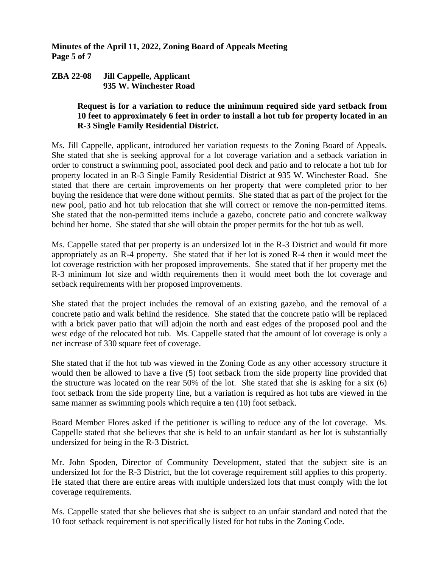**Minutes of the April 11, 2022, Zoning Board of Appeals Meeting Page 5 of 7**

#### **ZBA 22-08 Jill Cappelle, Applicant 935 W. Winchester Road**

### **Request is for a variation to reduce the minimum required side yard setback from 10 feet to approximately 6 feet in order to install a hot tub for property located in an R-3 Single Family Residential District.**

Ms. Jill Cappelle, applicant, introduced her variation requests to the Zoning Board of Appeals. She stated that she is seeking approval for a lot coverage variation and a setback variation in order to construct a swimming pool, associated pool deck and patio and to relocate a hot tub for property located in an R-3 Single Family Residential District at 935 W. Winchester Road. She stated that there are certain improvements on her property that were completed prior to her buying the residence that were done without permits. She stated that as part of the project for the new pool, patio and hot tub relocation that she will correct or remove the non-permitted items. She stated that the non-permitted items include a gazebo, concrete patio and concrete walkway behind her home. She stated that she will obtain the proper permits for the hot tub as well.

Ms. Cappelle stated that per property is an undersized lot in the R-3 District and would fit more appropriately as an R-4 property. She stated that if her lot is zoned R-4 then it would meet the lot coverage restriction with her proposed improvements. She stated that if her property met the R-3 minimum lot size and width requirements then it would meet both the lot coverage and setback requirements with her proposed improvements.

She stated that the project includes the removal of an existing gazebo, and the removal of a concrete patio and walk behind the residence. She stated that the concrete patio will be replaced with a brick paver patio that will adjoin the north and east edges of the proposed pool and the west edge of the relocated hot tub. Ms. Cappelle stated that the amount of lot coverage is only a net increase of 330 square feet of coverage.

She stated that if the hot tub was viewed in the Zoning Code as any other accessory structure it would then be allowed to have a five (5) foot setback from the side property line provided that the structure was located on the rear 50% of the lot. She stated that she is asking for a six (6) foot setback from the side property line, but a variation is required as hot tubs are viewed in the same manner as swimming pools which require a ten (10) foot setback.

Board Member Flores asked if the petitioner is willing to reduce any of the lot coverage. Ms. Cappelle stated that she believes that she is held to an unfair standard as her lot is substantially undersized for being in the R-3 District.

Mr. John Spoden, Director of Community Development, stated that the subject site is an undersized lot for the R-3 District, but the lot coverage requirement still applies to this property. He stated that there are entire areas with multiple undersized lots that must comply with the lot coverage requirements.

Ms. Cappelle stated that she believes that she is subject to an unfair standard and noted that the 10 foot setback requirement is not specifically listed for hot tubs in the Zoning Code.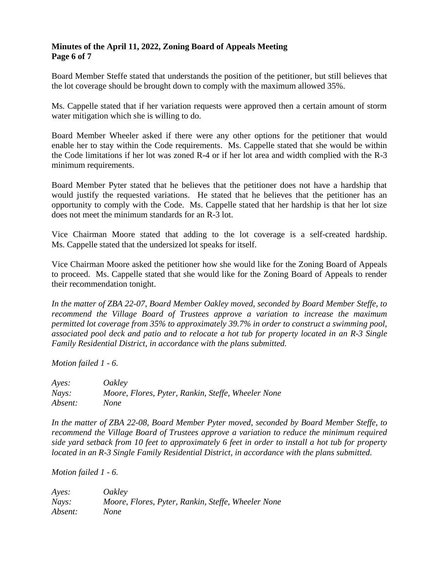### **Minutes of the April 11, 2022, Zoning Board of Appeals Meeting Page 6 of 7**

Board Member Steffe stated that understands the position of the petitioner, but still believes that the lot coverage should be brought down to comply with the maximum allowed 35%.

Ms. Cappelle stated that if her variation requests were approved then a certain amount of storm water mitigation which she is willing to do.

Board Member Wheeler asked if there were any other options for the petitioner that would enable her to stay within the Code requirements. Ms. Cappelle stated that she would be within the Code limitations if her lot was zoned R-4 or if her lot area and width complied with the R-3 minimum requirements.

Board Member Pyter stated that he believes that the petitioner does not have a hardship that would justify the requested variations. He stated that he believes that the petitioner has an opportunity to comply with the Code. Ms. Cappelle stated that her hardship is that her lot size does not meet the minimum standards for an R-3 lot.

Vice Chairman Moore stated that adding to the lot coverage is a self-created hardship. Ms. Cappelle stated that the undersized lot speaks for itself.

Vice Chairman Moore asked the petitioner how she would like for the Zoning Board of Appeals to proceed. Ms. Cappelle stated that she would like for the Zoning Board of Appeals to render their recommendation tonight.

*In the matter of ZBA 22-07, Board Member Oakley moved, seconded by Board Member Steffe, to recommend the Village Board of Trustees approve a variation to increase the maximum permitted lot coverage from 35% to approximately 39.7% in order to construct a swimming pool, associated pool deck and patio and to relocate a hot tub for property located in an R-3 Single Family Residential District, in accordance with the plans submitted.*

*Motion failed 1 - 6.*

*Ayes: Oakley Nays: Moore, Flores, Pyter, Rankin, Steffe, Wheeler None Absent: None*

*In the matter of ZBA 22-08, Board Member Pyter moved, seconded by Board Member Steffe, to recommend the Village Board of Trustees approve a variation to reduce the minimum required side yard setback from 10 feet to approximately 6 feet in order to install a hot tub for property located in an R-3 Single Family Residential District, in accordance with the plans submitted.*

*Motion failed 1 - 6.*

*Ayes: Oakley Nays: Moore, Flores, Pyter, Rankin, Steffe, Wheeler None Absent: None*